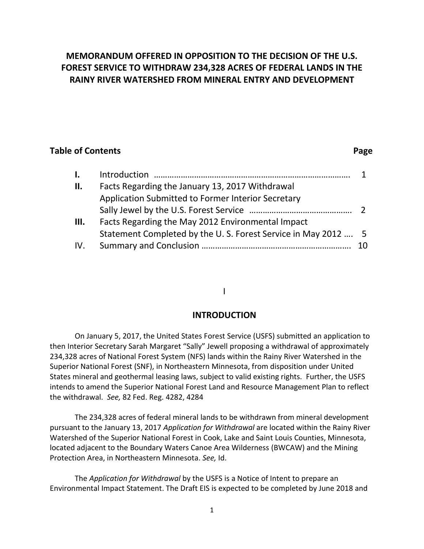## **MEMORANDUM OFFERED IN OPPOSITION TO THE DECISION OF THE U.S. FOREST SERVICE TO WITHDRAW 234,328 ACRES OF FEDERAL LANDS IN THE RAINY RIVER WATERSHED FROM MINERAL ENTRY AND DEVELOPMENT**

## **Table of Contents** Page

# **I.** Introduction ……………………………………………………………………………. 1 **II.** Facts Regarding the January 13, 2017 Withdrawal Application Submitted to Former Interior Secretary Sally Jewel by the U.S. Forest Service ………………………………………. 2 **III.** Facts Regarding the May 2012 Environmental Impact Statement Completed by the U. S. Forest Service in May 2012 …. 5 IV. Summary and Conclusion …………………………………………………………. 10

## I

## **INTRODUCTION**

On January 5, 2017, the United States Forest Service (USFS) submitted an application to then Interior Secretary Sarah Margaret "Sally" Jewell proposing a withdrawal of approximately 234,328 acres of National Forest System (NFS) lands within the Rainy River Watershed in the Superior National Forest (SNF), in Northeastern Minnesota, from disposition under United States mineral and geothermal leasing laws, subject to valid existing rights. Further, the USFS intends to amend the Superior National Forest Land and Resource Management Plan to reflect the withdrawal. *See,* 82 Fed. Reg. 4282, 4284

The 234,328 acres of federal mineral lands to be withdrawn from mineral development pursuant to the January 13, 2017 *Application for Withdrawal* are located within the Rainy River Watershed of the Superior National Forest in Cook, Lake and Saint Louis Counties, Minnesota, located adjacent to the Boundary Waters Canoe Area Wilderness (BWCAW) and the Mining Protection Area, in Northeastern Minnesota. *See,* Id.

The *Application for Withdrawal* by the USFS is a Notice of Intent to prepare an Environmental Impact Statement. The Draft EIS is expected to be completed by June 2018 and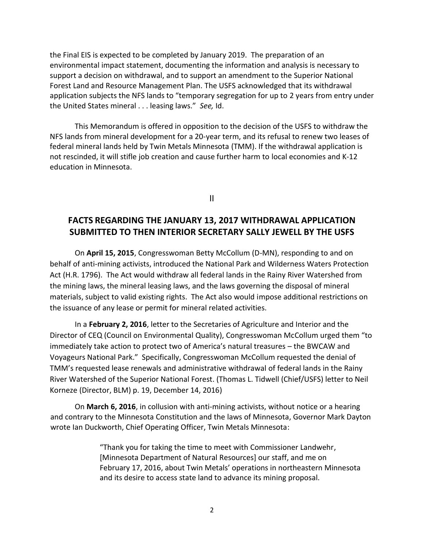the Final EIS is expected to be completed by January 2019. The preparation of an environmental impact statement, documenting the information and analysis is necessary to support a decision on withdrawal, and to support an amendment to the Superior National Forest Land and Resource Management Plan. The USFS acknowledged that its withdrawal application subjects the NFS lands to "temporary segregation for up to 2 years from entry under the United States mineral . . . leasing laws." *See,* Id.

This Memorandum is offered in opposition to the decision of the USFS to withdraw the NFS lands from mineral development for a 20-year term, and its refusal to renew two leases of federal mineral lands held by Twin Metals Minnesota (TMM). If the withdrawal application is not rescinded, it will stifle job creation and cause further harm to local economies and K-12 education in Minnesota.

II

## **FACTS REGARDING THE JANUARY 13, 2017 WITHDRAWAL APPLICATION SUBMITTED TO THEN INTERIOR SECRETARY SALLY JEWELL BY THE USFS**

On **April 15, 2015**, Congresswoman Betty McCollum (D-MN), responding to and on behalf of anti-mining activists, introduced the National Park and Wilderness Waters Protection Act (H.R. 1796). The Act would withdraw all federal lands in the Rainy River Watershed from the mining laws, the mineral leasing laws, and the laws governing the disposal of mineral materials, subject to valid existing rights. The Act also would impose additional restrictions on the issuance of any lease or permit for mineral related activities.

In a **February 2, 2016**, letter to the Secretaries of Agriculture and Interior and the Director of CEQ (Council on Environmental Quality), Congresswoman McCollum urged them "to immediately take action to protect two of America's natural treasures – the BWCAW and Voyageurs National Park." Specifically, Congresswoman McCollum requested the denial of TMM's requested lease renewals and administrative withdrawal of federal lands in the Rainy River Watershed of the Superior National Forest. (Thomas L. Tidwell (Chief/USFS) letter to Neil Korneze (Director, BLM) p. 19, December 14, 2016)

On **March 6, 2016**, in collusion with anti-mining activists, without notice or a hearing and contrary to the Minnesota Constitution and the laws of Minnesota, Governor Mark Dayton wrote Ian Duckworth, Chief Operating Officer, Twin Metals Minnesota:

> "Thank you for taking the time to meet with Commissioner Landwehr, [Minnesota Department of Natural Resources] our staff, and me on February 17, 2016, about Twin Metals' operations in northeastern Minnesota and its desire to access state land to advance its mining proposal.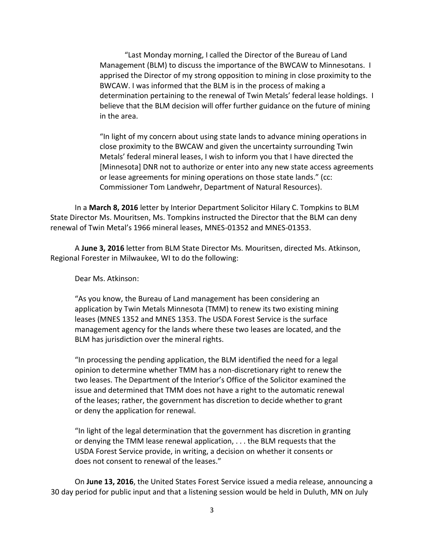"Last Monday morning, I called the Director of the Bureau of Land Management (BLM) to discuss the importance of the BWCAW to Minnesotans. I apprised the Director of my strong opposition to mining in close proximity to the BWCAW. I was informed that the BLM is in the process of making a determination pertaining to the renewal of Twin Metals' federal lease holdings. I believe that the BLM decision will offer further guidance on the future of mining in the area.

"In light of my concern about using state lands to advance mining operations in close proximity to the BWCAW and given the uncertainty surrounding Twin Metals' federal mineral leases, I wish to inform you that I have directed the [Minnesota] DNR not to authorize or enter into any new state access agreements or lease agreements for mining operations on those state lands." (cc: Commissioner Tom Landwehr, Department of Natural Resources).

In a **March 8, 2016** letter by Interior Department Solicitor Hilary C. Tompkins to BLM State Director Ms. Mouritsen, Ms. Tompkins instructed the Director that the BLM can deny renewal of Twin Metal's 1966 mineral leases, MNES-01352 and MNES-01353.

A **June 3, 2016** letter from BLM State Director Ms. Mouritsen, directed Ms. Atkinson, Regional Forester in Milwaukee, WI to do the following:

Dear Ms. Atkinson:

"As you know, the Bureau of Land management has been considering an application by Twin Metals Minnesota (TMM) to renew its two existing mining leases (MNES 1352 and MNES 1353. The USDA Forest Service is the surface management agency for the lands where these two leases are located, and the BLM has jurisdiction over the mineral rights.

"In processing the pending application, the BLM identified the need for a legal opinion to determine whether TMM has a non-discretionary right to renew the two leases. The Department of the Interior's Office of the Solicitor examined the issue and determined that TMM does not have a right to the automatic renewal of the leases; rather, the government has discretion to decide whether to grant or deny the application for renewal.

"In light of the legal determination that the government has discretion in granting or denying the TMM lease renewal application, . . . the BLM requests that the USDA Forest Service provide, in writing, a decision on whether it consents or does not consent to renewal of the leases."

On **June 13, 2016**, the United States Forest Service issued a media release, announcing a 30 day period for public input and that a listening session would be held in Duluth, MN on July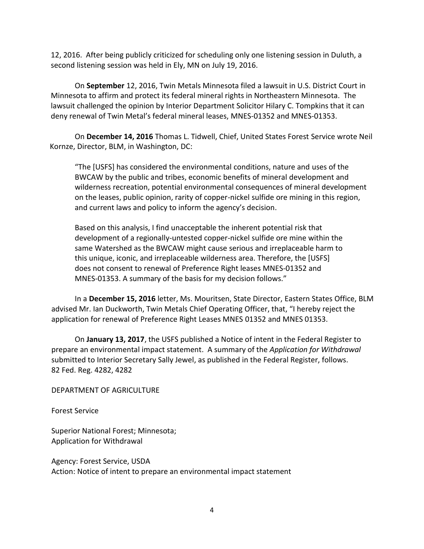12, 2016. After being publicly criticized for scheduling only one listening session in Duluth, a second listening session was held in Ely, MN on July 19, 2016.

On **September** 12, 2016, Twin Metals Minnesota filed a lawsuit in U.S. District Court in Minnesota to affirm and protect its federal mineral rights in Northeastern Minnesota. The lawsuit challenged the opinion by Interior Department Solicitor Hilary C. Tompkins that it can deny renewal of Twin Metal's federal mineral leases, MNES-01352 and MNES-01353.

On **December 14, 2016** Thomas L. Tidwell, Chief, United States Forest Service wrote Neil Kornze, Director, BLM, in Washington, DC:

"The [USFS] has considered the environmental conditions, nature and uses of the BWCAW by the public and tribes, economic benefits of mineral development and wilderness recreation, potential environmental consequences of mineral development on the leases, public opinion, rarity of copper-nickel sulfide ore mining in this region, and current laws and policy to inform the agency's decision.

Based on this analysis, I find unacceptable the inherent potential risk that development of a regionally-untested copper-nickel sulfide ore mine within the same Watershed as the BWCAW might cause serious and irreplaceable harm to this unique, iconic, and irreplaceable wilderness area. Therefore, the [USFS] does not consent to renewal of Preference Right leases MNES-01352 and MNES-01353. A summary of the basis for my decision follows."

In a **December 15, 2016** letter, Ms. Mouritsen, State Director, Eastern States Office, BLM advised Mr. Ian Duckworth, Twin Metals Chief Operating Officer, that, "I hereby reject the application for renewal of Preference Right Leases MNES 01352 and MNES 01353.

On **January 13, 2017**, the USFS published a Notice of intent in the Federal Register to prepare an environmental impact statement. A summary of the *Application for Withdrawal* submitted to Interior Secretary Sally Jewel, as published in the Federal Register, follows. 82 Fed. Reg. 4282, 4282

DEPARTMENT OF AGRICULTURE

Forest Service

Superior National Forest; Minnesota; Application for Withdrawal

Agency: Forest Service, USDA Action: Notice of intent to prepare an environmental impact statement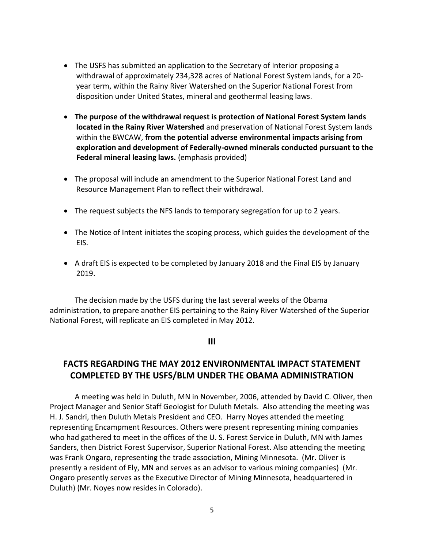- The USFS has submitted an application to the Secretary of Interior proposing a withdrawal of approximately 234,328 acres of National Forest System lands, for a 20 year term, within the Rainy River Watershed on the Superior National Forest from disposition under United States, mineral and geothermal leasing laws.
- **The purpose of the withdrawal request is protection of National Forest System lands located in the Rainy River Watershed** and preservation of National Forest System lands within the BWCAW, **from the potential adverse environmental impacts arising from exploration and development of Federally-owned minerals conducted pursuant to the Federal mineral leasing laws.** (emphasis provided)
- The proposal will include an amendment to the Superior National Forest Land and Resource Management Plan to reflect their withdrawal.
- The request subjects the NFS lands to temporary segregation for up to 2 years.
- The Notice of Intent initiates the scoping process, which guides the development of the EIS.
- A draft EIS is expected to be completed by January 2018 and the Final EIS by January 2019.

The decision made by the USFS during the last several weeks of the Obama administration, to prepare another EIS pertaining to the Rainy River Watershed of the Superior National Forest, will replicate an EIS completed in May 2012.

**III**

## **FACTS REGARDING THE MAY 2012 ENVIRONMENTAL IMPACT STATEMENT COMPLETED BY THE USFS/BLM UNDER THE OBAMA ADMINISTRATION**

A meeting was held in Duluth, MN in November, 2006, attended by David C. Oliver, then Project Manager and Senior Staff Geologist for Duluth Metals. Also attending the meeting was H. J. Sandri, then Duluth Metals President and CEO. Harry Noyes attended the meeting representing Encampment Resources. Others were present representing mining companies who had gathered to meet in the offices of the U. S. Forest Service in Duluth, MN with James Sanders, then District Forest Supervisor, Superior National Forest. Also attending the meeting was Frank Ongaro, representing the trade association, Mining Minnesota. (Mr. Oliver is presently a resident of Ely, MN and serves as an advisor to various mining companies) (Mr. Ongaro presently serves as the Executive Director of Mining Minnesota, headquartered in Duluth) (Mr. Noyes now resides in Colorado).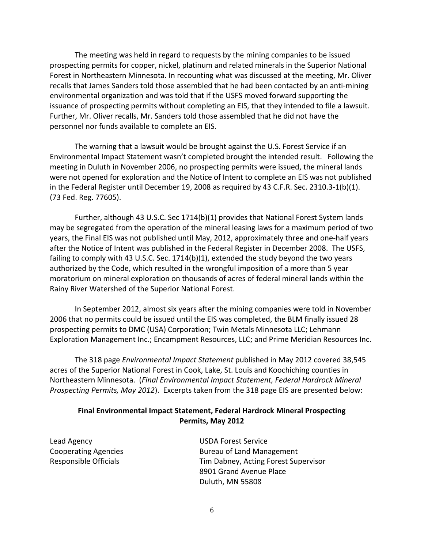The meeting was held in regard to requests by the mining companies to be issued prospecting permits for copper, nickel, platinum and related minerals in the Superior National Forest in Northeastern Minnesota. In recounting what was discussed at the meeting, Mr. Oliver recalls that James Sanders told those assembled that he had been contacted by an anti-mining environmental organization and was told that if the USFS moved forward supporting the issuance of prospecting permits without completing an EIS, that they intended to file a lawsuit. Further, Mr. Oliver recalls, Mr. Sanders told those assembled that he did not have the personnel nor funds available to complete an EIS.

The warning that a lawsuit would be brought against the U.S. Forest Service if an Environmental Impact Statement wasn't completed brought the intended result. Following the meeting in Duluth in November 2006, no prospecting permits were issued, the mineral lands were not opened for exploration and the Notice of Intent to complete an EIS was not published in the Federal Register until December 19, 2008 as required by 43 C.F.R. Sec. 2310.3-1(b)(1). (73 Fed. Reg. 77605).

Further, although 43 U.S.C. Sec 1714(b)(1) provides that National Forest System lands may be segregated from the operation of the mineral leasing laws for a maximum period of two years, the Final EIS was not published until May, 2012, approximately three and one-half years after the Notice of Intent was published in the Federal Register in December 2008. The USFS, failing to comply with 43 U.S.C. Sec. 1714(b)(1), extended the study beyond the two years authorized by the Code, which resulted in the wrongful imposition of a more than 5 year moratorium on mineral exploration on thousands of acres of federal mineral lands within the Rainy River Watershed of the Superior National Forest.

In September 2012, almost six years after the mining companies were told in November 2006 that no permits could be issued until the EIS was completed, the BLM finally issued 28 prospecting permits to DMC (USA) Corporation; Twin Metals Minnesota LLC; Lehmann Exploration Management Inc.; Encampment Resources, LLC; and Prime Meridian Resources Inc.

The 318 page *Environmental Impact Statement* published in May 2012 covered 38,545 acres of the Superior National Forest in Cook, Lake, St. Louis and Koochiching counties in Northeastern Minnesota. (*Final Environmental Impact Statement, Federal Hardrock Mineral Prospecting Permits, May 2012*). Excerpts taken from the 318 page EIS are presented below:

#### **Final Environmental Impact Statement, Federal Hardrock Mineral Prospecting Permits, May 2012**

Lead Agency USDA Forest Service

Cooperating Agencies The Bureau of Land Management Responsible Officials Tim Dabney, Acting Forest Supervisor 8901 Grand Avenue Place Duluth, MN 55808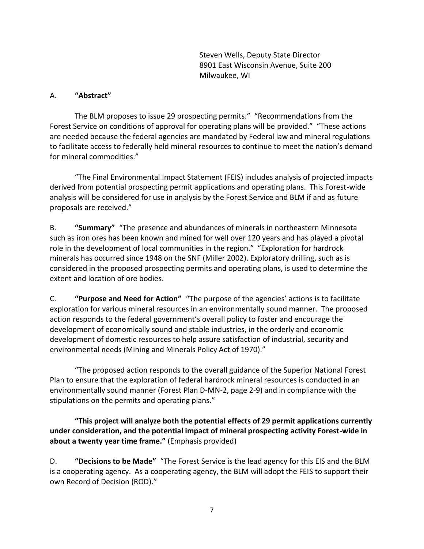Steven Wells, Deputy State Director 8901 East Wisconsin Avenue, Suite 200 Milwaukee, WI

#### A. **"Abstract"**

The BLM proposes to issue 29 prospecting permits." "Recommendations from the Forest Service on conditions of approval for operating plans will be provided." "These actions are needed because the federal agencies are mandated by Federal law and mineral regulations to facilitate access to federally held mineral resources to continue to meet the nation's demand for mineral commodities."

"The Final Environmental Impact Statement (FEIS) includes analysis of projected impacts derived from potential prospecting permit applications and operating plans. This Forest-wide analysis will be considered for use in analysis by the Forest Service and BLM if and as future proposals are received."

B. **"Summary"** "The presence and abundances of minerals in northeastern Minnesota such as iron ores has been known and mined for well over 120 years and has played a pivotal role in the development of local communities in the region." "Exploration for hardrock minerals has occurred since 1948 on the SNF (Miller 2002). Exploratory drilling, such as is considered in the proposed prospecting permits and operating plans, is used to determine the extent and location of ore bodies.

C. **"Purpose and Need for Action"** "The purpose of the agencies' actions is to facilitate exploration for various mineral resources in an environmentally sound manner. The proposed action responds to the federal government's overall policy to foster and encourage the development of economically sound and stable industries, in the orderly and economic development of domestic resources to help assure satisfaction of industrial, security and environmental needs (Mining and Minerals Policy Act of 1970)."

"The proposed action responds to the overall guidance of the Superior National Forest Plan to ensure that the exploration of federal hardrock mineral resources is conducted in an environmentally sound manner (Forest Plan D-MN-2, page 2-9) and in compliance with the stipulations on the permits and operating plans."

**"This project will analyze both the potential effects of 29 permit applications currently under consideration, and the potential impact of mineral prospecting activity Forest-wide in about a twenty year time frame."** (Emphasis provided)

D. **"Decisions to be Made"** "The Forest Service is the lead agency for this EIS and the BLM is a cooperating agency. As a cooperating agency, the BLM will adopt the FEIS to support their own Record of Decision (ROD)."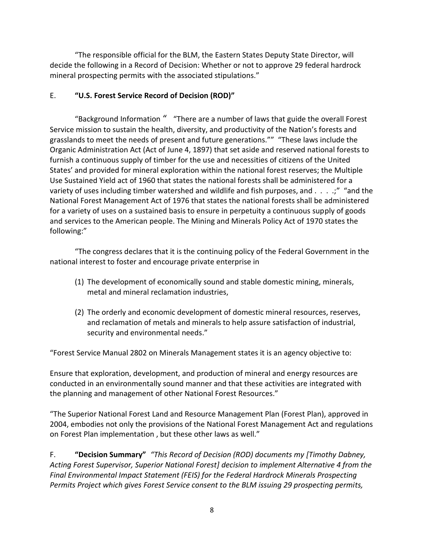"The responsible official for the BLM, the Eastern States Deputy State Director, will decide the following in a Record of Decision: Whether or not to approve 29 federal hardrock mineral prospecting permits with the associated stipulations."

## E. **"U.S. Forest Service Record of Decision (ROD)"**

"Background Information " "There are a number of laws that guide the overall Forest Service mission to sustain the health, diversity, and productivity of the Nation's forests and grasslands to meet the needs of present and future generations."" "These laws include the Organic Administration Act (Act of June 4, 1897) that set aside and reserved national forests to furnish a continuous supply of timber for the use and necessities of citizens of the United States' and provided for mineral exploration within the national forest reserves; the Multiple Use Sustained Yield act of 1960 that states the national forests shall be administered for a variety of uses including timber watershed and wildlife and fish purposes, and . . . .;" "and the National Forest Management Act of 1976 that states the national forests shall be administered for a variety of uses on a sustained basis to ensure in perpetuity a continuous supply of goods and services to the American people. The Mining and Minerals Policy Act of 1970 states the following:"

"The congress declares that it is the continuing policy of the Federal Government in the national interest to foster and encourage private enterprise in

- (1) The development of economically sound and stable domestic mining, minerals, metal and mineral reclamation industries,
- (2) The orderly and economic development of domestic mineral resources, reserves, and reclamation of metals and minerals to help assure satisfaction of industrial, security and environmental needs."

"Forest Service Manual 2802 on Minerals Management states it is an agency objective to:

Ensure that exploration, development, and production of mineral and energy resources are conducted in an environmentally sound manner and that these activities are integrated with the planning and management of other National Forest Resources."

"The Superior National Forest Land and Resource Management Plan (Forest Plan), approved in 2004, embodies not only the provisions of the National Forest Management Act and regulations on Forest Plan implementation , but these other laws as well."

F. **"Decision Summary"** *"This Record of Decision (ROD) documents my [Timothy Dabney, Acting Forest Supervisor, Superior National Forest] decision to implement Alternative 4 from the Final Environmental Impact Statement (FEIS) for the Federal Hardrock Minerals Prospecting Permits Project which gives Forest Service consent to the BLM issuing 29 prospecting permits,*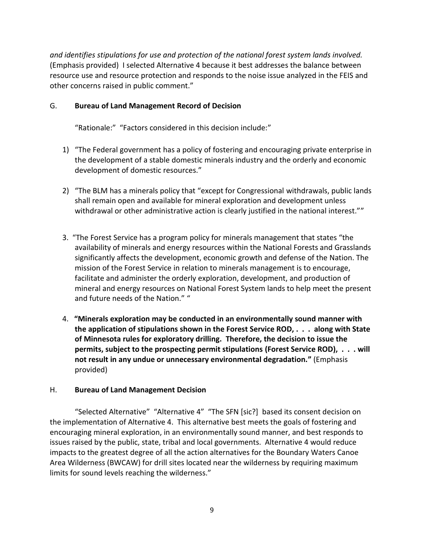*and identifies stipulations for use and protection of the national forest system lands involved.*  (Emphasis provided)I selected Alternative 4 because it best addresses the balance between resource use and resource protection and responds to the noise issue analyzed in the FEIS and other concerns raised in public comment."

#### G. **Bureau of Land Management Record of Decision**

"Rationale:" "Factors considered in this decision include:"

- 1) "The Federal government has a policy of fostering and encouraging private enterprise in the development of a stable domestic minerals industry and the orderly and economic development of domestic resources."
- 2) "The BLM has a minerals policy that "except for Congressional withdrawals, public lands shall remain open and available for mineral exploration and development unless withdrawal or other administrative action is clearly justified in the national interest.""
- 3. "The Forest Service has a program policy for minerals management that states "the availability of minerals and energy resources within the National Forests and Grasslands significantly affects the development, economic growth and defense of the Nation. The mission of the Forest Service in relation to minerals management is to encourage, facilitate and administer the orderly exploration, development, and production of mineral and energy resources on National Forest System lands to help meet the present and future needs of the Nation." "
- 4. **"Minerals exploration may be conducted in an environmentally sound manner with the application of stipulations shown in the Forest Service ROD, . . . along with State of Minnesota rules for exploratory drilling. Therefore, the decision to issue the permits, subject to the prospecting permit stipulations (Forest Service ROD), . . . will not result in any undue or unnecessary environmental degradation."** (Emphasis provided)

## H. **Bureau of Land Management Decision**

"Selected Alternative" "Alternative 4" "The SFN [sic?] based its consent decision on the implementation of Alternative 4. This alternative best meets the goals of fostering and encouraging mineral exploration, in an environmentally sound manner, and best responds to issues raised by the public, state, tribal and local governments. Alternative 4 would reduce impacts to the greatest degree of all the action alternatives for the Boundary Waters Canoe Area Wilderness (BWCAW) for drill sites located near the wilderness by requiring maximum limits for sound levels reaching the wilderness."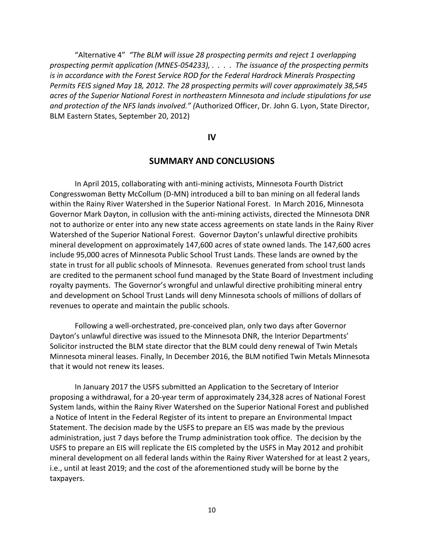"Alternative 4" *"The BLM will issue 28 prospecting permits and reject 1 overlapping prospecting permit application (MNES-054233), . . . . The issuance of the prospecting permits is in accordance with the Forest Service ROD for the Federal Hardrock Minerals Prospecting Permits FEIS signed May 18, 2012. The 28 prospecting permits will cover approximately 38,545 acres of the Superior National Forest in northeastern Minnesota and include stipulations for use and protection of the NFS lands involved." (*Authorized Officer, Dr. John G. Lyon, State Director, BLM Eastern States, September 20, 2012)

**IV**

#### **SUMMARY AND CONCLUSIONS**

In April 2015, collaborating with anti-mining activists, Minnesota Fourth District Congresswoman Betty McCollum (D-MN) introduced a bill to ban mining on all federal lands within the Rainy River Watershed in the Superior National Forest. In March 2016, Minnesota Governor Mark Dayton, in collusion with the anti-mining activists, directed the Minnesota DNR not to authorize or enter into any new state access agreements on state lands in the Rainy River Watershed of the Superior National Forest. Governor Dayton's unlawful directive prohibits mineral development on approximately 147,600 acres of state owned lands. The 147,600 acres include 95,000 acres of Minnesota Public School Trust Lands. These lands are owned by the state in trust for all public schools of Minnesota. Revenues generated from school trust lands are credited to the permanent school fund managed by the State Board of Investment including royalty payments. The Governor's wrongful and unlawful directive prohibiting mineral entry and development on School Trust Lands will deny Minnesota schools of millions of dollars of revenues to operate and maintain the public schools.

Following a well-orchestrated, pre-conceived plan, only two days after Governor Dayton's unlawful directive was issued to the Minnesota DNR, the Interior Departments' Solicitor instructed the BLM state director that the BLM could deny renewal of Twin Metals Minnesota mineral leases. Finally, In December 2016, the BLM notified Twin Metals Minnesota that it would not renew its leases.

In January 2017 the USFS submitted an Application to the Secretary of Interior proposing a withdrawal, for a 20-year term of approximately 234,328 acres of National Forest System lands, within the Rainy River Watershed on the Superior National Forest and published a Notice of Intent in the Federal Register of its intent to prepare an Environmental Impact Statement. The decision made by the USFS to prepare an EIS was made by the previous administration, just 7 days before the Trump administration took office. The decision by the USFS to prepare an EIS will replicate the EIS completed by the USFS in May 2012 and prohibit mineral development on all federal lands within the Rainy River Watershed for at least 2 years, i.e., until at least 2019; and the cost of the aforementioned study will be borne by the taxpayers.